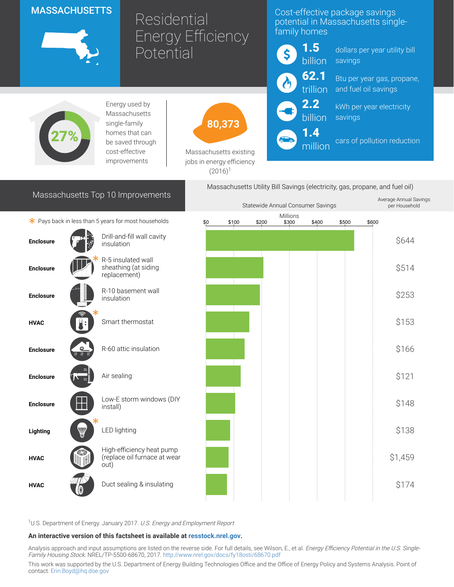# **MASSACHUSETTS**



# Residential Energy Efficiency Potential

## Cost-effective package savings potential in Massachusetts singlefamily homes



dollars per year utility bill savings

Btu per year gas, propane, and fuel oil savings

kWh per year electricity savings

cars of pollution reduction



Energy used by Massachusetts single-family homes that can be saved through cost-effective improvements



Massachusetts existing jobs in energy efficiency  $(2016)^1$ 

# Massachusetts Top 10 Improvements

Massachusetts Utility Bill Savings (electricity, gas, propane, and fuel oil) Average Annual Savings

1.4 million

|                                                      |                                    |                                                                   |       | Statewide Annual Consumer Savings |                   |       |       |       |  |         |
|------------------------------------------------------|------------------------------------|-------------------------------------------------------------------|-------|-----------------------------------|-------------------|-------|-------|-------|--|---------|
| * Pays back in less than 5 years for most households |                                    | \$0                                                               | \$100 | \$200                             | Millions<br>\$300 | \$400 | \$500 | \$600 |  |         |
| <b>Enclosure</b>                                     |                                    | Drill-and-fill wall cavity<br>insulation                          |       |                                   |                   |       |       |       |  | \$644   |
| <b>Enclosure</b>                                     |                                    | R-5 insulated wall<br>sheathing (at siding<br>replacement)        |       |                                   |                   |       |       |       |  | \$514   |
| <b>Enclosure</b>                                     |                                    | R-10 basement wall<br>insulation                                  |       |                                   |                   |       |       |       |  | \$253   |
| <b>HVAC</b>                                          |                                    | Smart thermostat                                                  |       |                                   |                   |       |       |       |  | \$153   |
| <b>Enclosure</b>                                     | ௨<br>$\overline{n}$ $\overline{n}$ | R-60 attic insulation                                             |       |                                   |                   |       |       |       |  | \$166   |
| <b>Enclosure</b>                                     |                                    | Air sealing                                                       |       |                                   |                   |       |       |       |  | \$121   |
| <b>Enclosure</b>                                     |                                    | Low-E storm windows (DIY<br>install)                              |       |                                   |                   |       |       |       |  | \$148   |
| Lighting                                             | V                                  | <b>LED lighting</b>                                               |       |                                   |                   |       |       |       |  | \$138   |
| <b>HVAC</b>                                          |                                    | High-efficiency heat pump<br>(replace oil furnace at wear<br>out) |       |                                   |                   |       |       |       |  | \$1,459 |
| <b>HVAC</b>                                          |                                    | Duct sealing & insulating                                         |       |                                   |                   |       |       |       |  | \$174   |

<sup>1</sup>U.S. Department of Energy. January 2017. U.S. Energy and Employment Report

#### An interactive version of this factsheet is available at [resstock.nrel.gov.](https://resstock.nrel.gov/)

Analysis approach and input assumptions are listed on the reverse side. For full details, see Wilson, E., et al. *Energy Efficiency Potential in the U.S. Single*-Family Housing Stock. NREL/TP-5500-68670, 2017. <http://www.nrel.gov/docs/fy18osti/68670.pdf>

This work was supported by the U.S. Department of Energy Building Technologies Office and the Office of Energy Policy and Systems Analysis. Point of contact: [Erin.Boyd@hq.doe.gov](mailto:Erin.Boyd@hq.doe.gov)